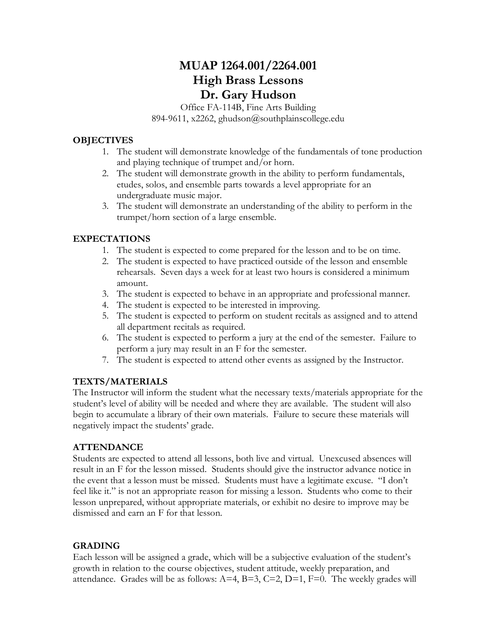# **MUAP 1264.001/2264.001 High Brass Lessons Dr. Gary Hudson**

Office FA-114B, Fine Arts Building 894-9611, x2262, ghudson@southplainscollege.edu

### **OBJECTIVES**

- 1. The student will demonstrate knowledge of the fundamentals of tone production and playing technique of trumpet and/or horn.
- 2. The student will demonstrate growth in the ability to perform fundamentals, etudes, solos, and ensemble parts towards a level appropriate for an undergraduate music major.
- 3. The student will demonstrate an understanding of the ability to perform in the trumpet/horn section of a large ensemble.

# **EXPECTATIONS**

- 1. The student is expected to come prepared for the lesson and to be on time.
- 2. The student is expected to have practiced outside of the lesson and ensemble rehearsals. Seven days a week for at least two hours is considered a minimum amount.
- 3. The student is expected to behave in an appropriate and professional manner.
- 4. The student is expected to be interested in improving.
- 5. The student is expected to perform on student recitals as assigned and to attend all department recitals as required.
- 6. The student is expected to perform a jury at the end of the semester. Failure to perform a jury may result in an F for the semester.
- 7. The student is expected to attend other events as assigned by the Instructor.

# **TEXTS/MATERIALS**

The Instructor will inform the student what the necessary texts/materials appropriate for the student's level of ability will be needed and where they are available. The student will also begin to accumulate a library of their own materials. Failure to secure these materials will negatively impact the students' grade.

### **ATTENDANCE**

Students are expected to attend all lessons, both live and virtual. Unexcused absences will result in an F for the lesson missed. Students should give the instructor advance notice in the event that a lesson must be missed. Students must have a legitimate excuse. "I don't feel like it." is not an appropriate reason for missing a lesson. Students who come to their lesson unprepared, without appropriate materials, or exhibit no desire to improve may be dismissed and earn an F for that lesson.

### **GRADING**

Each lesson will be assigned a grade, which will be a subjective evaluation of the student's growth in relation to the course objectives, student attitude, weekly preparation, and attendance. Grades will be as follows:  $A=4$ ,  $B=3$ ,  $C=2$ ,  $D=1$ ,  $F=0$ . The weekly grades will